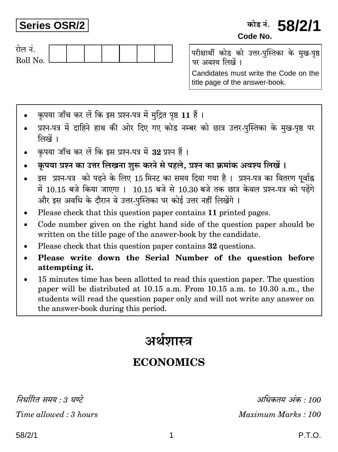# **Series OSR/2**

# कोड नं. **58/2/1** Code No.



परीक्षार्थी कोड को उत्तर-पुस्तिका के मुख-पृष्ठ पर अवश्य लिखें ।

Candidates must write the Code on the title page of the answer-book.

- कपया जाँच कर लें कि इस प्रश्न-पत्र में मदित पष्ठ 11 हैं।
- प्रश्न-पत्र में दाहिने हाथ की ओर दिए गए कोड नम्बर को छात्र उत्तर-पुस्तिका के मुख-पृष्ठ पर लिखें ।
- कृपया जाँच कर लें कि इस प्रश्न-पत्र में 32 प्रश्न हैं।
- कृपया प्रश्न का उत्तर लिखना शुरू करने से पहले, प्रश्न का क्रमांक अवश्य लिखें।
- इस प्रश्न-पत्र को पढ़ने के लिए 15 मिनट का समय दिया गया है। प्रश्न-पत्र का वितरण पर्वाह्न में 10.15 बजे किया जाएगा। 10.15 बजे से 10.30 बजे तक छात्र केवल प्रश्न-पत्र को पढ़ेंगे और इस अवधि के दौरान वे उत्तर-पुस्तिका पर कोई उत्तर नहीं लिखेंगे ।
- Please check that this question paper contains 11 printed pages.
- Code number given on the right hand side of the question paper should be written on the title page of the answer-book by the candidate.
- Please check that this question paper contains 32 questions.
- Please write down the Serial Number of the question before  $\bullet$ attempting it.
- 15 minutes time has been allotted to read this question paper. The question paper will be distributed at 10.15 a.m. From 10.15 a.m. to 10.30 a.m., the students will read the question paper only and will not write any answer on the answer-book during this period.

# अर्थशास्त्र

# **ECONOMICS**

निर्धारित ममय  $\cdot$  १ घण्टे

Time allowed: 3 hours

अधिकतम् अंक : 100 Maximum Marks: 100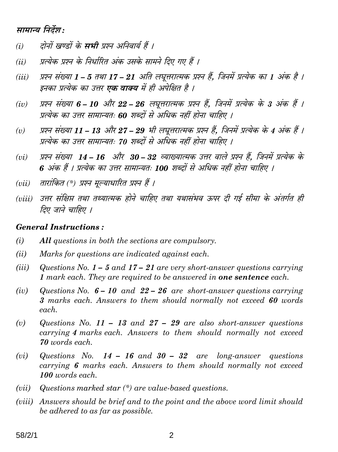## सामान्य निर्देश:

- दोनों खण्डों के **सभी** प्रश्न अनिवार्य हैं ।  $(i)$
- प्रत्येक प्रश्न के निर्धारित अंक उसके सामने दिए गए हैं ।  $(ii)$
- प्रश्न संख्या 1 5 तथा 17 21 अति लघूत्तरात्मक प्रश्न हैं. जिनमें प्रत्येक का 1 अंक है ।  $(iii)$ इनका प्रत्येक का उत्तर **एक वाक्य** में ही अपेक्षित है ।
- प्रश्न संख्या 6 10 और 22 26 लघुत्तरात्मक प्रश्न हैं, जिनमें प्रत्येक के 3 अंक हैं ।  $(iv)$ प्रत्येक का उत्तर सामान्यतः 60 शब्दों से अधिक नहीं होना चाहिए ।
- प्रश्न संख्या 11 13 और 27 29 भी लघूत्तरात्मक प्रश्न हैं, जिनमें प्रत्येक के 4 अंक हैं ।  $(v)$ प्रत्येक का उत्तर सामान्यतः 70 शब्दों से अधिक नहीं होना चाहिए ।
- प्रश्न संख्या 14 16 और 30 32 व्याख्यात्मक उत्तर वाले प्रश्न हैं, जिनमें प्रत्येक के  $(vi)$ 6 अंक हैं । प्रत्येक का उत्तर सामान्यतः 100 शब्दों से अधिक नहीं होना चाहिए ।
- तारांकित (\*) प्रश्न मुल्याधारित प्रश्न हैं ।  $(vii)$
- (viii) उत्तर संक्षिप्त तथा तथ्यात्मक होने चाहिए तथा यथासंभव ऊपर दी गई सीमा के अंतर्गत ही तिए जाने चाहिए ।

#### **General Instructions:**

- $(i)$ All questions in both the sections are compulsory.
- $(ii)$ Marks for questions are indicated against each.
- $(iii)$ Questions No.  $1 - 5$  and  $17 - 21$  are very short-answer questions carrying 1 mark each. They are required to be answered in **one sentence** each.
- Questions No.  $6 10$  and  $22 26$  are short-answer questions carrying  $(iv)$ 3 marks each. Answers to them should normally not exceed 60 words each.
- $(v)$ Questions No. 11 – 13 and 27 – 29 are also short-answer questions carrying 4 marks each. Answers to them should normally not exceed 70 words each.
- Questions No.  $14 16$  and  $30 32$  are long-answer questions  $(vi)$ carrying 6 marks each. Answers to them should normally not exceed 100 words each.
- Questions marked star  $(*)$  are value-based questions.  $(vii)$
- (viii) Answers should be brief and to the point and the above word limit should be adhered to as far as possible.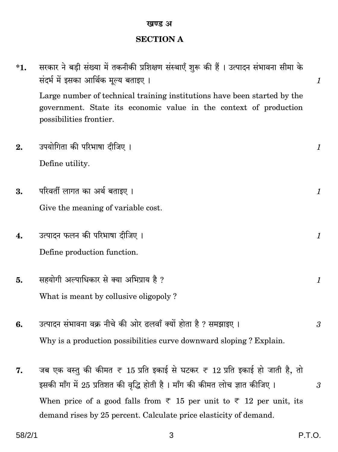#### खण्ड अ

# **SECTION A**

| *1. | सरकार ने बड़ी संख्या में तकनीकी प्रशिक्षण संस्थाएँ शुरू की हैं । उत्पादन संभावना सीमा के<br>संदर्भ में इसका आर्थिक मूल्य बताइए ।                                         | $\boldsymbol{\mathit{1}}$ |
|-----|--------------------------------------------------------------------------------------------------------------------------------------------------------------------------|---------------------------|
|     | Large number of technical training institutions have been started by the<br>government. State its economic value in the context of production<br>possibilities frontier. |                           |
| 2.  | उपयोगिता की परिभाषा दीजिए ।                                                                                                                                              | $\boldsymbol{\mathit{1}}$ |
|     | Define utility.                                                                                                                                                          |                           |
| 3.  | परिवर्ती लागत का अर्थ बताइए ।                                                                                                                                            | 1                         |
|     | Give the meaning of variable cost.                                                                                                                                       |                           |
| 4.  | उत्पादन फलन की परिभाषा दीजिए ।                                                                                                                                           | 1                         |
|     | Define production function.                                                                                                                                              |                           |
| 5.  | सहयोगी अल्पाधिकार से क्या अभिप्राय है ?                                                                                                                                  | $\boldsymbol{\mathit{1}}$ |
|     | What is meant by collusive oligopoly?                                                                                                                                    |                           |
| 6.  | उत्पादन संभावना वक्र नीचे की ओर ढलवाँ क्यों होता है ? समझाइए ।                                                                                                           | 3                         |
|     | Why is a production possibilities curve downward sloping? Explain.                                                                                                       |                           |
| 7.  | जब एक वस्तु की कीमत ₹ 15 प्रति इकाई से घटकर ₹ 12 प्रति इकाई हो जाती है, तो<br>इसकी माँग में 25 प्रतिशत की वृद्धि होती है। माँग की कीमत लोच ज्ञात कीजिए।                  | 3                         |
|     | When price of a good falls from $\overline{\tau}$ 15 per unit to $\overline{\tau}$ 12 per unit, its<br>demand rises by 25 percent. Calculate price elasticity of demand. |                           |
|     |                                                                                                                                                                          |                           |

 $\mathbf{3}$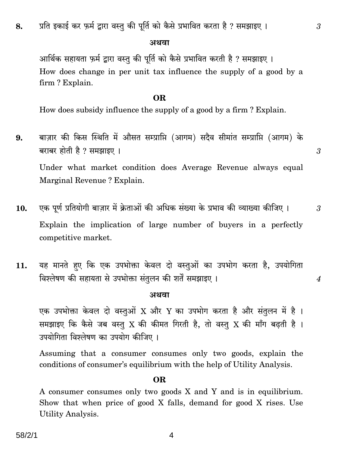#### अथवा

आर्थिक सहायता फ़र्म द्वारा वस्तु की पूर्ति को कैसे प्रभावित करती है ? समझाइए । How does change in per unit tax influence the supply of a good by a firm? Explain.

#### OR.

How does subsidy influence the supply of a good by a firm? Explain.

- बाज़ार की किस स्थिति में औसत सम्प्राप्ति (आगम) सदैव सीमांत सम्प्राप्ति (आगम) के 9. बराबर होती है ? समझाइए । Under what market condition does Average Revenue always equal Marginal Revenue? Explain.
- एक पूर्ण प्रतियोगी बाज़ार में क्रेताओं की अधिक संख्या के प्रभाव की व्याख्या कीजिए । 10. Explain the implication of large number of buyers in a perfectly competitive market.
- यह मानते हुए कि एक उपभोक्ता केवल दो वस्तुओं का उपभोग करता है, उपयोगिता  $11.$ विश्लेषण की सहायता से उपभोक्ता संतुलन की शर्तें समझाइए ।

#### अथवा

एक उपभोक्ता केवल दो वस्तुओं X और Y का उपभोग करता है और संतुलन में है। समझाइए कि कैसे जब वस्तु X की कीमत गिरती है, तो वस्तु X की माँग बढ़ती है। उपयोगिता विश्लेषण का उपयोग कीजिए ।

Assuming that a consumer consumer only two goods, explain the conditions of consumer's equilibrium with the help of Utility Analysis.

#### OR.

A consumer consumes only two goods X and Y and is in equilibrium. Show that when price of good X falls, demand for good X rises. Use **Utility Analysis.** 

3

 $\boldsymbol{4}$ 

3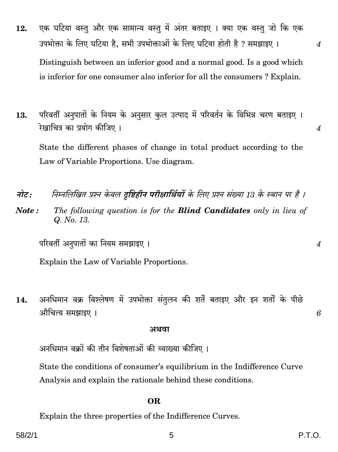- एक घटिया वस्तु और एक सामान्य वस्तु में अंतर बताइए । क्या एक वस्तु जो कि एक  $12.$ उपभोक्ता के लिए घटिया है, सभी उपभोक्ताओं के लिए घटिया होती है ? समझाइए । Distinguish between an inferior good and a normal good. Is a good which is inferior for one consumer also inferior for all the consumers ? Explain.
- परिवर्ती अनुपातों के नियम के अनुसार कुल उत्पाद में परिवर्तन के विभिन्न चरण बताइए । 13. रेखाचित्र का प्रयोग कीजिए।

State the different phases of change in total product according to the Law of Variable Proportions. Use diagram.

- निम्नलिखित प्रश्न केवल दुष्टिहीन परीक्षार्थियों के लिए प्रश्न संख्या 13 के स्थान पर है । नोट :
- The following question is for the **Blind Candidates** only in lieu of Note: Q. No. 13.

परिवर्ती अनुपातों का नियम समझाइए ।

Explain the Law of Variable Proportions.

अनधिमान वक्र विश्लेषण में उपभोक्ता संतुलन की शर्तें बताइए और इन शर्तों के पीछे 14. औचित्य समझाइए ।

#### अथवा

अनधिमान वक्रों की तीन विशेषताओं की व्याख्या कीजिए ।

State the conditions of consumer's equilibrium in the Indifference Curve Analysis and explain the rationale behind these conditions.

#### **OR**

Explain the three properties of the Indifference Curves.

6

 $\boldsymbol{4}$ 

 $\overline{4}$ 

 $\boldsymbol{4}$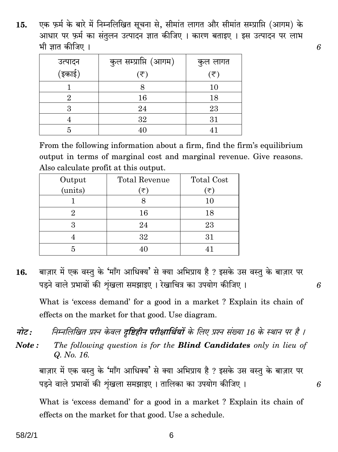एक फ़र्म के बारे में निम्नलिखित सूचना से, सीमांत लागत और सीमांत सम्प्राप्ति (आगम) के 15. आधार पर फ़र्म का संतुलन उत्पादन ज्ञात कीजिए । कारण बताइए । इस उत्पादन पर लाभ भी ज्ञात कीजिए ।

6

6

6

|                   | कुल सम्प्राप्ति (आगम) | कुल लागत                    |
|-------------------|-----------------------|-----------------------------|
| उत्पादन<br>(इकाई) | (₹)                   | $(\overline{\overline{z}})$ |
|                   |                       | 10                          |
| 9.                | 16                    | 18                          |
|                   | 24                    | 23                          |
|                   | 32                    | 31                          |
|                   | 40                    | 41                          |

From the following information about a firm, find the firm's equilibrium output in terms of marginal cost and marginal revenue. Give reasons. Also calculate profit at this output.

| Output  | <b>Total Revenue</b> | <b>Total Cost</b> |
|---------|----------------------|-------------------|
| (units) | َ ح=ِ                | ັ₹`               |
|         |                      | $10\,$            |
|         | 16                   | 18                |
|         | 24                   | 23                |
|         | 32                   | 31                |
|         |                      |                   |

बाज़ार में एक वस्तु के 'माँग आधिक्य' से क्या अभिप्राय है ? इसके उस वस्तु के बाज़ार पर 16. पडने वाले प्रभावों की शृंखला समझाइए । रेखाचित्र का उपयोग कीजिए ।

What is 'excess demand' for a good in a market ? Explain its chain of effects on the market for that good. Use diagram.

- नोट: निम्नलिखित प्रश्न केवल दृष्टिहीन परीक्षार्थियों के लिए प्रश्न संख्या 16 के स्थान पर है ।
- Note: The following question is for the **Blind Candidates** only in lieu of Q. No. 16.

बाज़ार में एक वस्तू के 'माँग आधिक्य' से क्या अभिप्राय है ? इसके उस वस्तू के बाज़ार पर पड़ने वाले प्रभावों की शृंखला समझाइए। तालिका का उपयोग कीजिए।

What is 'excess demand' for a good in a market? Explain its chain of effects on the market for that good. Use a schedule.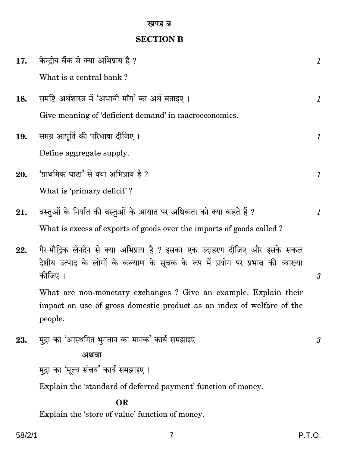### खण्ड ब

# **SECTION B**

| 17. | केन्द्रीय बैंक से क्या अभिप्राय है ?                                                       | $\mathcal{I}$        |
|-----|--------------------------------------------------------------------------------------------|----------------------|
|     | What is a central bank?                                                                    |                      |
| 18. | समष्टि अर्थशास्त्र में 'अभावी माँग' का अर्थ बताइए ।                                        | $\mathcal{I}$        |
|     | Give meaning of 'deficient demand' in macroeconomics.                                      |                      |
| 19. | समग्र आपूर्ति की परिभाषा दीजिए ।                                                           | $\mathcal{I}$        |
|     | Define aggregate supply.                                                                   |                      |
| 20. | 'प्राथमिक घाटा' से क्या अभिप्राय है ?                                                      | $\mathcal{I}$        |
|     | What is 'primary deficit'?                                                                 |                      |
| 21. | वस्तुओं के निर्यात की वस्तुओं के आयात पर अधिकता को क्या कहते हैं ?                         | 1                    |
|     | What is excess of exports of goods over the imports of goods called?                       |                      |
| 22. | ग़ैर-मौद्रिक लेनदेन से क्या अभिप्राय है ? इसका एक उदाहरण दीजिए और इसके सकल                 |                      |
|     | देशीय उत्पाद के लोगों के कल्याण के सूचक के रूप में प्रयोग पर प्रभाव की व्याख्या<br>कीजिए । | $\boldsymbol{\beta}$ |
|     | What are non-monetary exchanges? Give an example. Explain their                            |                      |
|     | impact on use of gross domestic product as an index of welfare of the<br>people.           |                      |
| 23. | मुद्रा का 'आस्थगित भुगतान का मानक' कार्य समझाइए ।                                          | 3                    |
|     | अथवा                                                                                       |                      |
|     | मुद्रा का 'मूल्य संचय' कार्य समझाइए ।                                                      |                      |
|     | Explain the 'standard of deferred payment' function of money.                              |                      |
|     | OR                                                                                         |                      |

Explain the 'store of value' function of money.

 $\boldsymbol{7}$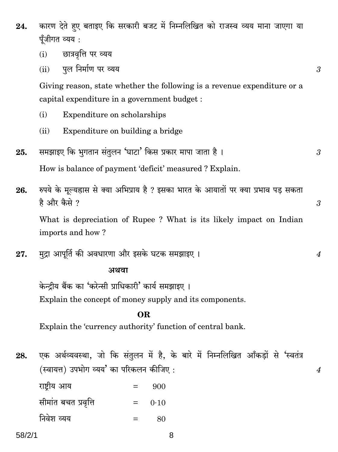- कारण देते हुए बताइए कि सरकारी बजट में निम्नलिखित को राजस्व व्यय माना जाएगा या 24. पँजीगत व्यय :
	- छात्रवृत्ति पर व्यय  $(i)$
	- पूल निर्माण पर व्यय  $(ii)$

Giving reason, state whether the following is a revenue expenditure or a capital expenditure in a government budget :

- Expenditure on scholarships  $(i)$
- Expenditure on building a bridge  $(ii)$
- समझाइए कि भूगतान संतुलन 'घाटा' किस प्रकार मापा जाता है। 25. 3

How is balance of payment 'deficit' measured ? Explain.

रुपये के मूल्यह्रास से क्या अभिप्राय है ? इसका भारत के आयातों पर क्या प्रभाव पड़ सकता 26. है और कैसे ?

What is depreciation of Rupee? What is its likely impact on Indian imports and how?

मुद्रा आपूर्ति की अवधारणा और इसके घटक समझाइए । 27.

#### अथवा

केन्द्रीय बैंक का 'करेन्सी प्राधिकारी' कार्य समझाइए । Explain the concept of money supply and its components.

## **OR**

Explain the 'currency authority' function of central bank.

एक अर्थव्यवस्था, जो कि संतुलन में है, के बारे में निम्नलिखित आँकड़ों से 'स्वतंत्र 28. (स्वायत्त) उपभोग व्यय' का परिकलन कीजिए:

राष्ट्रीय आय 900  $=$ सीमांत बचत प्रवृत्ति  $=$  $0.10$ 

निवेश व्यय 80  $=$ 

8

3

 $\overline{4}$ 

3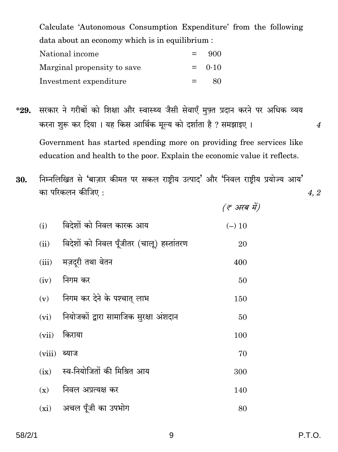Calculate 'Autonomous Consumption Expenditure' from the following data about an economy which is in equilibrium :

| National income             | $=$ | 900      |
|-----------------------------|-----|----------|
| Marginal propensity to save |     | $= 0.10$ |
| Investment expenditure      | $=$ | 80       |

सरकार ने गरीबों को शिक्षा और स्वास्थ्य जैसी सेवाएँ मुफ़्त प्रदान करने पर अधिक व्यय  $*29.$ करना शुरू कर दिया। यह किस आर्थिक मूल्य को दर्शाता है ? समझाइए। Government has started spending more on providing free services like education and health to the poor. Explain the economic value it reflects.

निम्नलिखित से 'बाज़ार कीमत पर सकल राष्ट्रीय उत्पाद' और 'निवल राष्ट्रीय प्रयोज्य आय' 30. का परिकलन कीजिए : 4, 2

(ह अरब में)

| (i)            | विदेशों को निवल कारक आय                  | $(-)$ 10 |
|----------------|------------------------------------------|----------|
| (ii)           | विदेशों को निवल पूँजीतर (चालू) हस्तांतरण | 20       |
| (iii)          | मज़दूरी तथा वेतन                         | 400      |
| (iv)           | निगम कर                                  | 50       |
| (v)            | निगम कर देने के पश्चात् लाभ              | 150      |
| (vi)           | नियोजकों द्वारा सामाजिक सुरक्षा अंशदान   | 50       |
| (vii)          | किराया                                   | 100      |
| $(viii)$ ब्याज |                                          | 70       |
| (ix)           | स्व-नियोजितों की मिश्रित आय              | 300      |
| (x)            | निवल अप्रत्यक्ष कर                       | 140      |
|                | (xi) अचल पूँजी का उपभोग                  | 80       |

 $\overline{4}$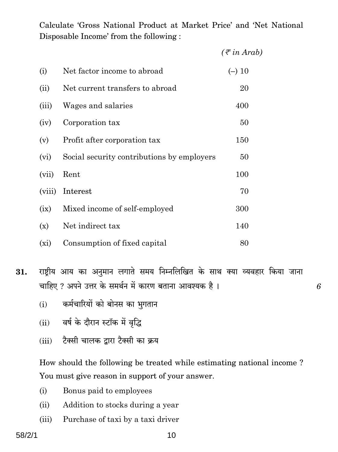Calculate 'Gross National Product at Market Price' and 'Net National Disposable Income' from the following :

|         |                                            | $(\bar{\tau}$ in Arab) |
|---------|--------------------------------------------|------------------------|
| (i)     | Net factor income to abroad                | $(-)$ 10               |
| (ii)    | Net current transfers to abroad            | 20                     |
| (iii)   | Wages and salaries                         | 400                    |
| (iv)    | Corporation tax                            | 50                     |
| (v)     | Profit after corporation tax               | 150                    |
| (vi)    | Social security contributions by employers | 50                     |
| (vii)   | Rent                                       | 100                    |
| (viii)  | Interest                                   | 70                     |
| (ix)    | Mixed income of self-employed              | 300                    |
| (x)     | Net indirect tax                           | 140                    |
| $(x_i)$ | Consumption of fixed capital               | 80                     |

राष्ट्रीय आय का अनुमान लगाते समय निम्नलिखित के साथ क्या व्यवहार किया जाना 31. चाहिए ? अपने उत्तर के समर्थन में कारण बताना आवश्यक है।

6

- कर्मचारियों को बोनस का भुगतान  $(i)$
- (ii) वर्ष के दौरान स्टॉक में वृद्धि
- टैक्सी चालक द्वारा टैक्सी का क्रय  $(iii)$

How should the following be treated while estimating national income? You must give reason in support of your answer.

- $(i)$ Bonus paid to employees
- Addition to stocks during a year  $(ii)$
- Purchase of taxi by a taxi driver  $(iii)$